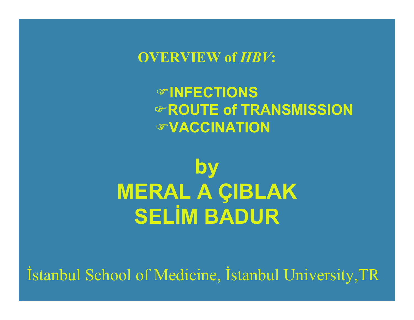**OVERVIEW of** *HBV***:**

#### )**INFECTIONS**)**ROUTE of TRANSMISSION**)**VACCINATION**

# **by MERAL A ÇIBLAK SELİM BADUR**

İstanbul School of Medicine, İstanbul University,TR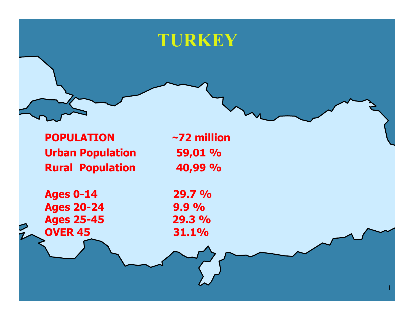# **TURKEY**

**POPULATIONUrban Population 59,01 % Rural Population 40,99 %**

**Ages 0-14 29.7 % Ages 20-24 9.9 % Ages 25-45 29.3 % OVER 45 31.1%**

**<sup>~</sup>72 million**

1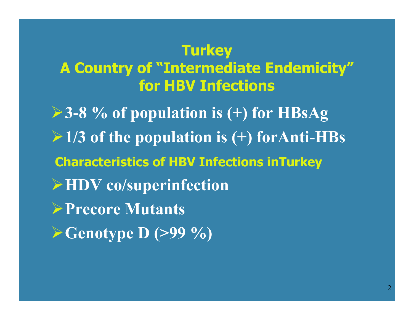#### **Turkey**

#### **A Country of "Intermediate Endemicity" for HBV Infections**

¾**3-8 % of population is (+) for HBsAg**  ¾**1/3 of the population is (+) forAnti-HBs Characteristics of HBV Infections inTurkey** ¾**HDV co/superinfection** ¾**Precore Mutants** ¾**Genotype D (>99 %)**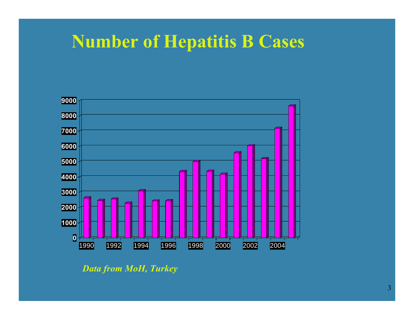# **Number of Hepatitis B Cases**



*Data from MoH, Turkey*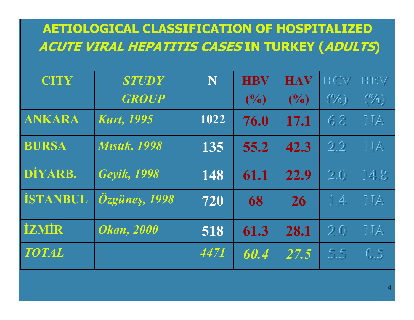#### **AETIOLOGICAL CLASSIFICATION OF HOSPITALIZED ACUTE VIRAL HEPATITIS CASES IN TURKEY (ADULTS)**

| <b>CITY</b>     | <b>STUDY</b>            | N    | <b>HBV</b> | <b>HAV</b> | HICV                        | HIEW                 |
|-----------------|-------------------------|------|------------|------------|-----------------------------|----------------------|
|                 | <b>GROUP</b>            |      | (0/0)      | (9/0)      | $(\sqrt[6]{0})$             | $(\sqrt[\alpha]{a})$ |
| <b>ANKARA</b>   | <b>Kurt, 1995</b>       | 1022 | 76.0       | 17.1       | 6.8                         | MA                   |
| <b>BURSA</b>    | <b>Mistik, 1998</b>     | 135  | 55.2       | 42.3       | 2.2                         | MA                   |
| DİYARB.         | Geyik, 1998             | 148  | 61.1       | 22.9       | 2.0                         | 14.8                 |
| <b>İSTANBUL</b> | $\ddot{O}$ zgüneş, 1998 | 720  | 68         | 26         | $\mathbb{1}$ . $\mathbb{4}$ | MA                   |
| <b>İZMİR</b>    | <b>Okan</b> , 2000      | 518  | 61.3       | 28.1       | 2.0                         | MA                   |
| <b>TOTAL</b>    |                         | 4471 | 60.4       | 27.5       | 5.5                         | 0.5                  |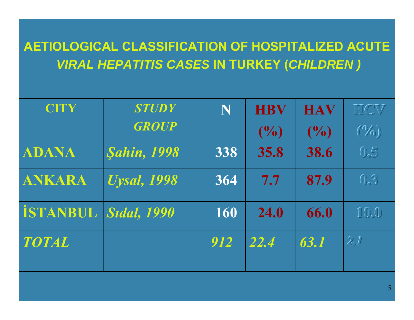#### **AETIOLOGICAL CLASSIFICATION OF HOSPITALIZED ACUTE** *VIRAL HEPATITIS CASES* **IN TURKEY (***CHILDREN )*

| <b>CITY</b>     | <b>STUDY</b>                     | N   | <b>HBV</b> | <b>HAV</b> | HICV                                                  |
|-----------------|----------------------------------|-----|------------|------------|-------------------------------------------------------|
|                 | <b>GROUP</b>                     |     | (9/0)      | (9/0)      | $(\sqrt[\alpha]{a})$                                  |
| ADANA           | <b><i><u>Sahin, 1998</u></i></b> | 338 | 35.8       | 38.6       | 0.5                                                   |
| <b>ANKARA</b>   | <b><i>Uysal, 1998</i></b>        | 364 | 7.7        | 87.9       | $\mathbb{Q}^{(2)}$                                    |
| <b>İSTANBUL</b> | <i><b>Sidal, 1990</b></i>        | 160 | 24.0       | 66.0       | $\Pi(0,0)$                                            |
| <b>TOTAL</b>    |                                  | 912 | 22.4       | 63.1       | $\widehat{\mathbb{Z}}_{\epsilon}\widehat{\mathbb{H}}$ |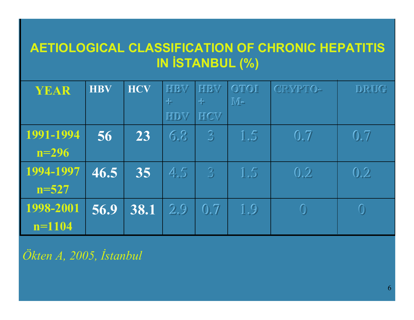#### **AETIOLOGICAL CLASSIFICATION OF CHRONIC HEPATITIS IN İSTANBUL (%)**

| YEAR      | <b>HBV</b> | <b>HCV</b> | HIBW<br>苄 | HIBV<br>녺                       | OTOI<br>$\mathbb{M}$ e       | CRYPTO-                         | DRUG                            |
|-----------|------------|------------|-----------|---------------------------------|------------------------------|---------------------------------|---------------------------------|
|           |            |            | HIDW      | HCW                             |                              |                                 |                                 |
| 1991-1994 | 56         | 23         | 6.8       | $\mathfrak{B}$                  | 1.5                          | $\overline{0}$ , $\overline{7}$ | $\overline{0}$ , $\overline{7}$ |
| $n = 296$ |            |            |           |                                 |                              |                                 |                                 |
| 1994-1997 | 46.5       | 35         | 4.5       | $\mathfrak{B}$                  | 1.5                          | 0, 2                            | 0.2                             |
| $n = 527$ |            |            |           |                                 |                              |                                 |                                 |
| 1998-2001 | 56.9       | 38.1       | 2.9       | $\overline{0}$ . $\overline{7}$ | $\mathbb{I}$ . $\mathcal{Q}$ | $\textcircled{\small{1}}$       | $\bigcirc$                      |
| $n=1104$  |            |            |           |                                 |                              |                                 |                                 |

*Ökten A, 2005, İstanbul*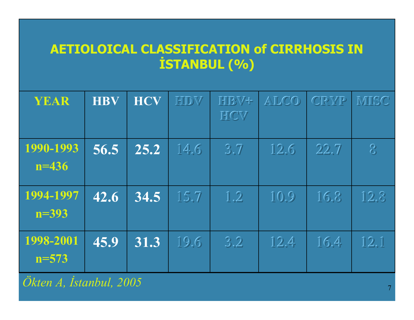#### **AETIOLOICAL CLASSIFICATION of CIRRHOSIS IN İSTANBUL (% )**

| YEAR                   | <b>HBV</b> | <b>HCV</b> | <b>HIDW</b> | <b>HIBV+</b><br>HICV | ALCO | <b>CRYP</b> | MISC                                        |
|------------------------|------------|------------|-------------|----------------------|------|-------------|---------------------------------------------|
| 1990-1993<br>$n = 436$ | 56.5       | 25.2       | 14.6        | 3.7                  | 12.6 | 22.7        | $\bigotimes$                                |
| 1994-1997<br>$n = 393$ | 42.6       | 34.5       | 15.7        | 1.2                  | 10.9 | 16.8        | 12.8                                        |
| 1998-2001<br>$n = 573$ | 45.9       | 31.3       | 19.6        | 3.2                  | 12.4 | 16.4        | $\overline{1}\overline{2}$ , $\overline{1}$ |

*Ökten A, İstanbul, 2005*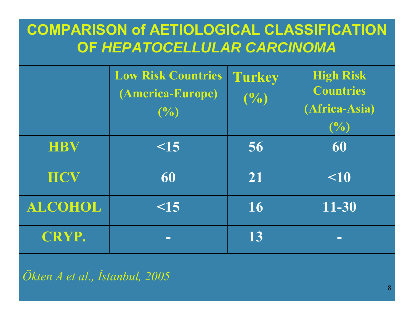#### **COMPARISON of AETIOLOGICAL CLASSIFICATION OF** *HEPATOCELLULAR CARCINOMA*

|                | <b>Low Risk Countries</b><br>(America-Europe)<br>(9/0) | <b>Turkey</b><br>$(\frac{0}{0})$ | <b>High Risk</b><br><b>Countries</b><br>(Africa-Asia)<br>(9/0) |
|----------------|--------------------------------------------------------|----------------------------------|----------------------------------------------------------------|
| <b>HBV</b>     | $\leq$ 15                                              | 56                               | 60                                                             |
| HCV            | 60                                                     | 21                               | $\leq 10$                                                      |
| <b>ALCOHOL</b> | $\leq$ 15                                              | 16                               | 11-30                                                          |
| <b>CRYP.</b>   | $\mathbf{r}$                                           | 13                               | $\Box$                                                         |

*Ökten A et al., İstanbul, 2005*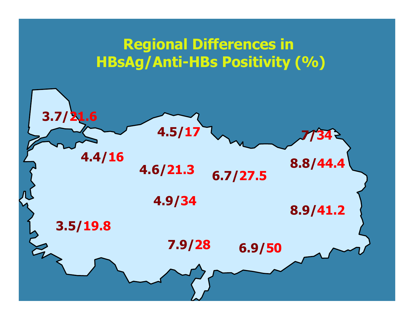#### **Regional Differences in HBsAg/Anti-HBs Positivity (%)**

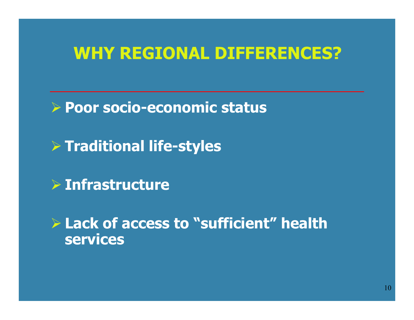# **WHY REGIONAL DIFFERENCES?**

¾ **Poor socio-economic status**

¾ **Traditional life-styles**

¾ **Infrastructure**

¾ **Lack of access to "sufficient" health services**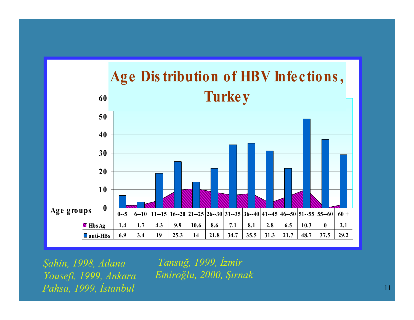

*Şahin, 1998, Adana Yousefi, 1999, Ankara Pahsa, 1999, İstanbul*

*Tansuğ, 1999, İzmir Emiroğlu, 2000, Şırnak*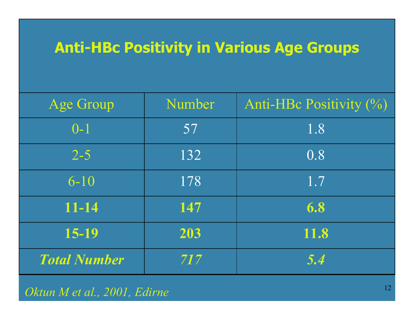# **Anti-HBc Positivity in Various Age Groups**

| Age Group           | Number | Anti-HBc Positivity (%) |
|---------------------|--------|-------------------------|
| $0 - 1$             | 57     | 1.8                     |
| $2 - 5$             | 132    | 0.8                     |
| $6 - 10$            | 178    | 1.7                     |
| $11 - 14$           | 147    | 6.8                     |
| 15-19               | 203    | 11.8                    |
| <b>Total Number</b> | 717    | 5.4                     |

#### *Oktun M et al., 2001, Edirne*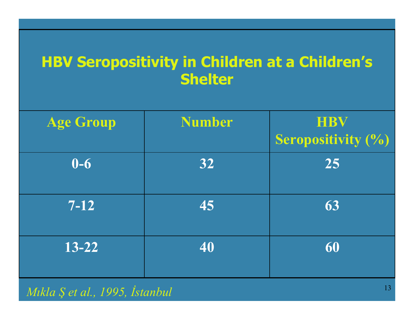#### **HBV Seropositivity in Children at a Children's Shelter**

| <b>Age Group</b> | <b>Number</b> | <b>HBV</b><br><b>Seropositivity (%)</b> |
|------------------|---------------|-----------------------------------------|
| $0-6$            | 32            | 25                                      |
| $7 - 12$         | 45            | 63                                      |
| $13 - 22$        | 40            | 60                                      |

#### *Mıkla Ş et al., 1995, İstanbul*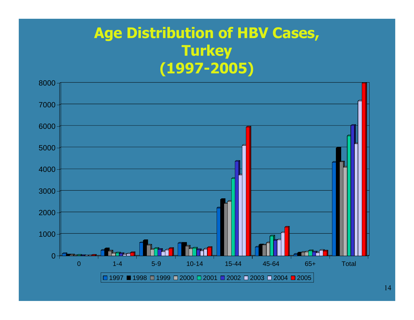#### **Age Distribution of HBV Cases, Turkey (1997-2005)**

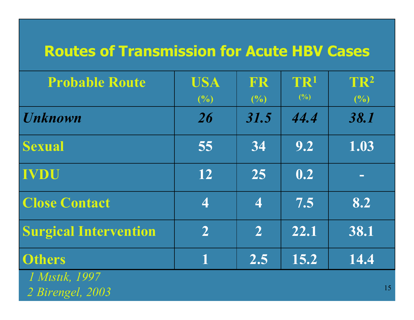#### **Routes of Transmission for Acute HBV Cases**

| <b>Probable Route</b>                                                                      | <b>USA</b><br>(%)        | FR<br>(%)               | TR <sup>1</sup><br>(%) | TR <sup>2</sup><br>(%)   |
|--------------------------------------------------------------------------------------------|--------------------------|-------------------------|------------------------|--------------------------|
| <b>Unknown</b>                                                                             | 26                       | 31.5                    | 44.4                   | 38.1                     |
| <b>Sexual</b>                                                                              | 55                       | 34                      | 9.2                    | 1.03                     |
| <b>IVDU</b>                                                                                | 12                       | 25                      | $\overline{0.2}$       | $\overline{\phantom{a}}$ |
| <b>Close Contact</b>                                                                       | $\overline{\mathcal{A}}$ | $\overline{\mathbf{4}}$ | 7.5                    | 8.2                      |
| <b>Surgical Intervention</b>                                                               | $\overline{2}$           | $\overline{2}$          | 22.1                   | 38.1                     |
| <b>Others</b><br>$\blacksquare$ 1 1 1 1 1 $\Lambda$ $\Lambda$ $\blacksquare$ 1 1 $\Lambda$ |                          | 2.5                     | 15.2                   | 14.4                     |

*1 Mıstık, 1997 2 Birengel, 2003*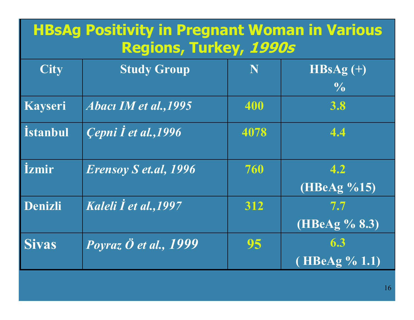# **HBsAg Positivity in Pregnant Woman in Various Regions, Turkey, 1990s**

| <b>City</b>         | <b>Study Group</b>           | N    | $HBSAg (+)$             |
|---------------------|------------------------------|------|-------------------------|
|                     |                              |      | $\frac{1}{2}$           |
| <b>Kayseri</b>      | Abacı IM et al., 1995        | 400  | 3.8                     |
| <i>istanbul</i>     | Cepni I et al., 1996         | 4078 | 4.4                     |
| <i><b>İzmir</b></i> | <b>Erensoy S et.al, 1996</b> | 760  | 4.2<br>(HBeAg %15)      |
| Denizli             | Kaleli I et al., 1997        | 312  | 7.7<br>$(HBeAg\%8.3)$   |
| <b>Sivas</b>        | Poyraz Ö et al., 1999        | 95   | 6.3<br>(HBeAg $\%$ 1.1) |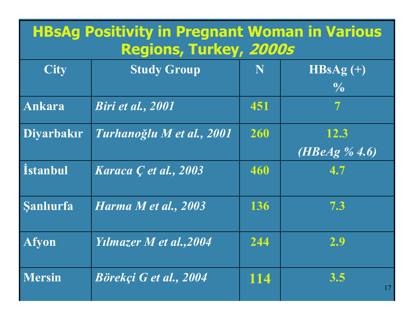## **HBsAg Positivity in Pregnant Woman in Various Regions, Turkey, 2000s**

| <b>City</b>       | <b>Study Group</b>             | N   | $HBSAg (+)$<br>$\frac{0}{0}$     |
|-------------------|--------------------------------|-----|----------------------------------|
| <b>Ankara</b>     | Biri et al., 2001              | 451 | $\overline{\mathcal{T}}$         |
| <b>Diyarbakır</b> | Turhanoğlu M et al., 2001      | 260 | 12.3<br>( <i>HBeAg</i> $\%$ 4.6) |
| <i>istanbul</i>   | Karaca <i>C</i> et al., 2003   | 460 | 4.7                              |
| <b>Sanliurfa</b>  | Harma M et al., 2003           | 136 | 7.3                              |
| <b>Afyon</b>      | <b>Yilmazer M et al., 2004</b> | 244 | 2.9                              |
| <b>Mersin</b>     | Börekçi G et al., 2004         | 114 | 3.5<br>17                        |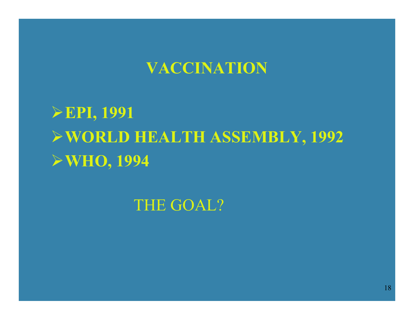#### **VACCINATION**

**EPI, 1991 WORLD HEALTH ASSEMBLY, 1992 WHO, 1994** 

THE GOAL?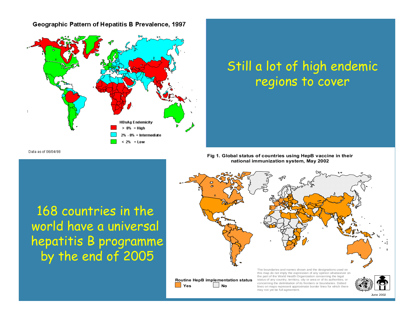#### Geographic Pattern of Hepatitis B Prevalence, 1997



#### Still a lot of high endemic regions to cover

Data as of 06/04/98

168 countries in the world have a universal hepatitis B programme by the end of 2005





may not yet be full agreement.

**YesNo**

June 2002

 $\Box$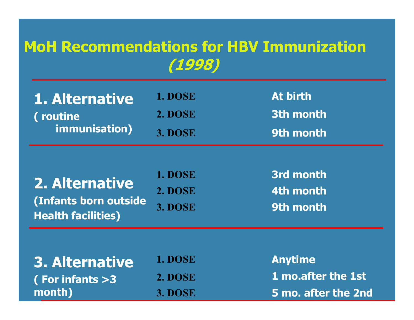#### **MoH Recommendations for HBV Immunization (1998)**

| 1. Alternative | <b>1. DOSE</b> | <b>At birth</b> |
|----------------|----------------|-----------------|
| (routine)      | <b>2. DOSE</b> | 3th month       |
| immunisation)  | 3. DOSE        | 9th month       |

|                           | <b>1. DOSE</b> | 3rd mont        |
|---------------------------|----------------|-----------------|
| 2. Alternative            | <b>2. DOSE</b> | 4th mont        |
| (Infants born outside     | 3. DOSE        | <b>9th mont</b> |
| <b>Health facilities)</b> |                |                 |

 **3rd month 4th month9th month**

| 3. Alternative    | 1. DOSE |
|-------------------|---------|
| (For infants $>3$ | 2. DOSE |
| month)            | 3. DOSE |

 **Anytime 1 mo.after the 1st 5 mo. after the 2nd**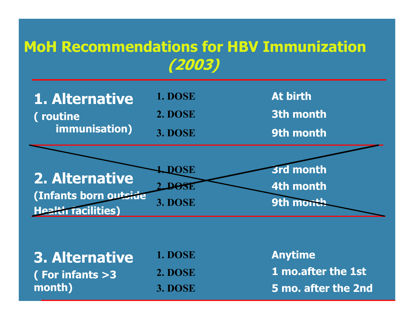# **MoH Recommendations for HBV Immunization (2003)**



| 3. Alternative        | 1. DOSE        | <b>Anytime</b>            |
|-----------------------|----------------|---------------------------|
| $($ For infants $>$ 3 | <b>2. DOSE</b> | <b>1 mo.after the 1st</b> |
| month)                | 3. DOSE        | 5 mo. after the 2nd       |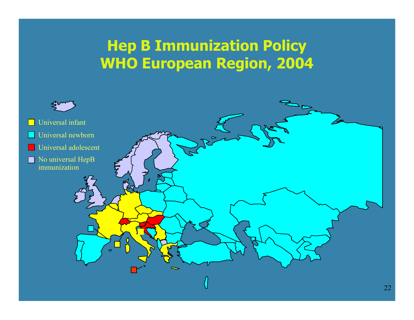# **Hep B Immunization Policy WHO European Region, 2004**

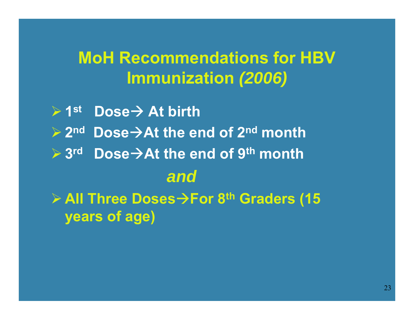# **MoH Recommendations for HBV Immunization** *(2006)*

 $\triangleright$  1st **<del>▶ 1st Dose → At birth</del> <del>▶ 2<sup>nd</sup> Dose → At the end of 2<sup>nd</sup> month**</del> **≽3<sup>rd</sup> Dose→At the end of 9<sup>th</sup> month** *and***≽ All Three Doses→For 8<sup>th</sup> Graders (15 years of age)**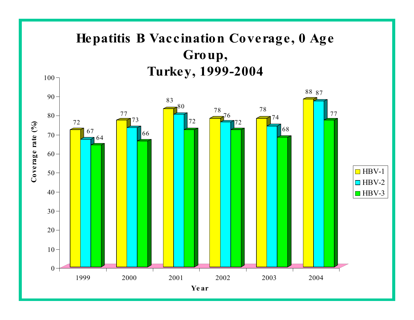#### **Hepatitis B Vaccination Coverage, 0 Age Group, Turkey, 1999-2004**

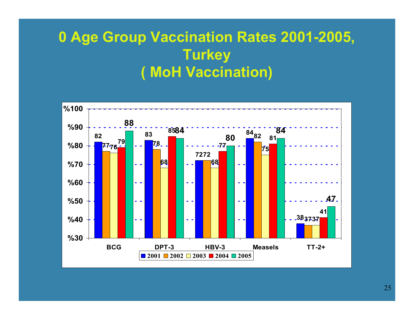#### **0 Age Group Vaccination Rates 2001-2005, Turkey ( MoH Vaccination)**

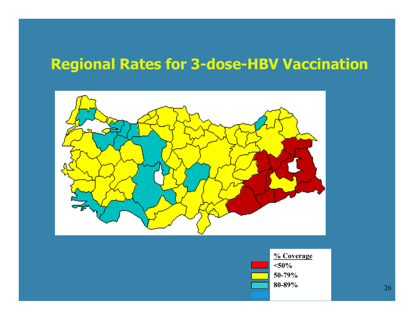# **Regional Rates for 3-dose-HBV Vaccination**